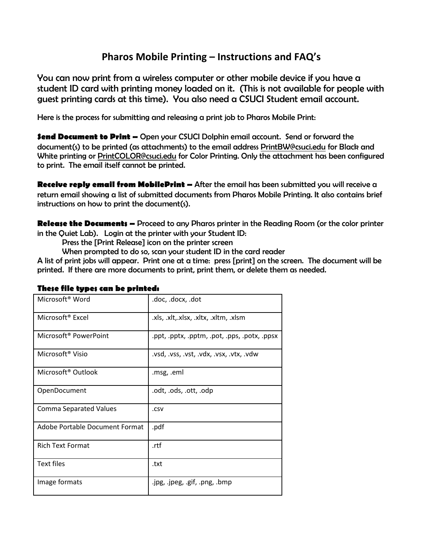## **Pharos Mobile Printing – Instructions and FAQ's**

You can now print from a wireless computer or other mobile device if you have a student ID card with printing money loaded on it. (This is not available for people with guest printing cards at this time). You also need a CSUCI Student email account.

Here is the process for submitting and releasing a print job to Pharos Mobile Print:

**Send Document to Print –** Open your CSUCI Dolphin email account. Send or forward the document(s) to be printed (as attachments) to the email address [PrintBW@csuci.edu](mailto:PrintBW@csuci.edu) for Black and White printing or [PrintCOLOR@csuci.edu](mailto:PrintCOLOR@csuci.edu) for Color Printing. Only the attachment has been configured to print. The email itself cannot be printed.

**Receive reply email from MobilePrint –** After the email has been submitted you will receive a return email showing a list of submitted documents from Pharos Mobile Printing. It also contains brief instructions on how to print the document(s).

**Release the Documents –** Proceed to any Pharos printer in the Reading Room (or the color printer in the Quiet Lab). Login at the printer with your Student ID:

Press the [Print Release] icon on the printer screen

When prompted to do so, scan your student ID in the card reader

A list of print jobs will appear. Print one at a time: press [print] on the screen. The document will be printed. If there are more documents to print, print them, or delete them as needed.

| Microsoft <sup>®</sup> Word       | .doc, .docx, .dot                            |
|-----------------------------------|----------------------------------------------|
| Microsoft <sup>®</sup> Excel      | .xls, .xlt,.xlsx, .xltx, .xltm, .xlsm        |
| Microsoft <sup>®</sup> PowerPoint | .ppt, .pptx, .pptm, .pot, .pps, .potx, .ppsx |
| Microsoft <sup>®</sup> Visio      | .vsd, .vss, .vst, .vdx, .vsx, .vtx, .vdw     |
| Microsoft <sup>®</sup> Outlook    | .msg, .eml                                   |
| OpenDocument                      | odt, .ods, .ott, .odp.                       |
| <b>Comma Separated Values</b>     | .csv                                         |
| Adobe Portable Document Format    | .pdf                                         |
| <b>Rich Text Format</b>           | .rtf                                         |
| Text files                        | .txt                                         |
| Image formats                     | .jpg, .jpeg, .gif, .png, .bmp                |

## **These file types can be printed:**